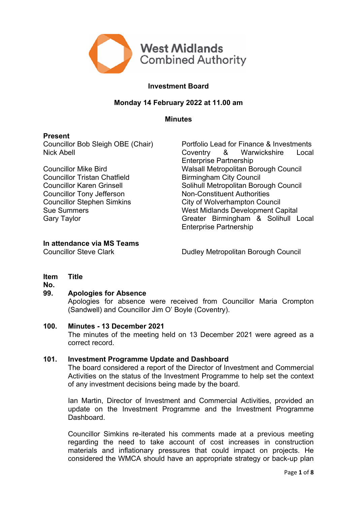

# **Investment Board**

## **Monday 14 February 2022 at 11.00 am**

**Minutes**

## **Present**

Councillor Tristan Chatfield **Birmingham City Council** Councillor Tony Jefferson Non-Constituent Authorities

Councillor Bob Sleigh OBE (Chair) Portfolio Lead for Finance & Investments Nick Abell Coventry & Warwickshire Local Enterprise Partnership Councillor Mike Bird Walsall Metropolitan Borough Council Councillor Karen Grinsell Solihull Metropolitan Borough Council Councillor Stephen Simkins City of Wolverhampton Council Sue Summers Music Capital Sue Summers Capital Gary Taylor<br>
Gary Taylor Capital Gary Taylor Capital Supersy Controller Capital Capital Capital Capital Supersy Controller<br>
Greater Birmingham & Solihull L Greater Birmingham & Solihull Local Enterprise Partnership

## **In attendance via MS Teams**

Councillor Steve Clark Dudley Metropolitan Borough Council

#### **Item Title**

**No.**

# **99. Apologies for Absence**

Apologies for absence were received from Councillor Maria Crompton (Sandwell) and Councillor Jim O' Boyle (Coventry).

### **100. Minutes - 13 December 2021**

The minutes of the meeting held on 13 December 2021 were agreed as a correct record.

# **101. Investment Programme Update and Dashboard**

The board considered a report of the Director of Investment and Commercial Activities on the status of the Investment Programme to help set the context of any investment decisions being made by the board.

Ian Martin, Director of Investment and Commercial Activities, provided an update on the Investment Programme and the Investment Programme Dashboard.

Councillor Simkins re-iterated his comments made at a previous meeting regarding the need to take account of cost increases in construction materials and inflationary pressures that could impact on projects. He considered the WMCA should have an appropriate strategy or back-up plan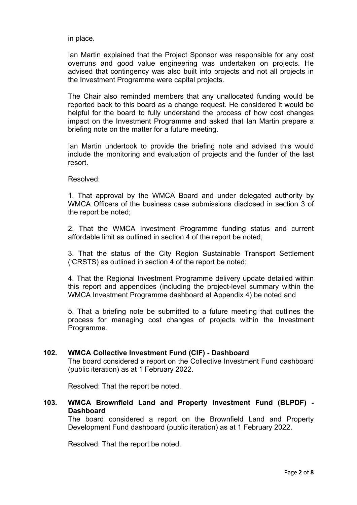in place.

Ian Martin explained that the Project Sponsor was responsible for any cost overruns and good value engineering was undertaken on projects. He advised that contingency was also built into projects and not all projects in the Investment Programme were capital projects.

The Chair also reminded members that any unallocated funding would be reported back to this board as a change request. He considered it would be helpful for the board to fully understand the process of how cost changes impact on the Investment Programme and asked that Ian Martin prepare a briefing note on the matter for a future meeting.

Ian Martin undertook to provide the briefing note and advised this would include the monitoring and evaluation of projects and the funder of the last resort.

Resolved:

1. That approval by the WMCA Board and under delegated authority by WMCA Officers of the business case submissions disclosed in section 3 of the report be noted;

2. That the WMCA Investment Programme funding status and current affordable limit as outlined in section 4 of the report be noted;

3. That the status of the City Region Sustainable Transport Settlement ('CRSTS) as outlined in section 4 of the report be noted;

4. That the Regional Investment Programme delivery update detailed within this report and appendices (including the project-level summary within the WMCA Investment Programme dashboard at Appendix 4) be noted and

5. That a briefing note be submitted to a future meeting that outlines the process for managing cost changes of projects within the Investment Programme.

# **102. WMCA Collective Investment Fund (CIF) - Dashboard**

The board considered a report on the Collective Investment Fund dashboard (public iteration) as at 1 February 2022.

Resolved: That the report be noted.

**103. WMCA Brownfield Land and Property Investment Fund (BLPDF) - Dashboard**

The board considered a report on the Brownfield Land and Property Development Fund dashboard (public iteration) as at 1 February 2022.

Resolved: That the report be noted.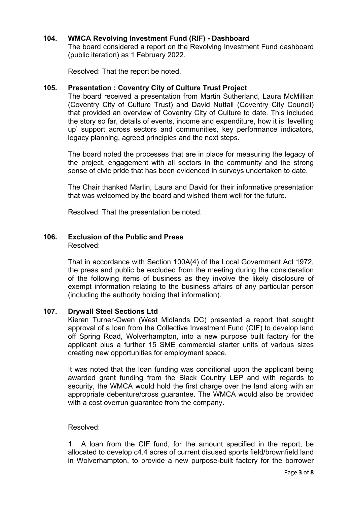# **104. WMCA Revolving Investment Fund (RIF) - Dashboard**

The board considered a report on the Revolving Investment Fund dashboard (public iteration) as 1 February 2022.

Resolved: That the report be noted.

## **105. Presentation : Coventry City of Culture Trust Project**

The board received a presentation from Martin Sutherland, Laura McMillian (Coventry City of Culture Trust) and David Nuttall (Coventry City Council) that provided an overview of Coventry City of Culture to date. This included the story so far, details of events, income and expenditure, how it is 'levelling up' support across sectors and communities, key performance indicators, legacy planning, agreed principles and the next steps.

The board noted the processes that are in place for measuring the legacy of the project, engagement with all sectors in the community and the strong sense of civic pride that has been evidenced in surveys undertaken to date.

The Chair thanked Martin, Laura and David for their informative presentation that was welcomed by the board and wished them well for the future.

Resolved: That the presentation be noted.

#### **106. Exclusion of the Public and Press** Resolved:

That in accordance with Section 100A(4) of the Local Government Act 1972, the press and public be excluded from the meeting during the consideration of the following items of business as they involve the likely disclosure of exempt information relating to the business affairs of any particular person (including the authority holding that information).

### **107. Drywall Steel Sections Ltd**

Kieren Turner-Owen (West Midlands DC) presented a report that sought approval of a loan from the Collective Investment Fund (CIF) to develop land off Spring Road, Wolverhampton, into a new purpose built factory for the applicant plus a further 15 SME commercial starter units of various sizes creating new opportunities for employment space.

It was noted that the loan funding was conditional upon the applicant being awarded grant funding from the Black Country LEP and with regards to security, the WMCA would hold the first charge over the land along with an appropriate debenture/cross guarantee. The WMCA would also be provided with a cost overrun guarantee from the company.

### Resolved:

1. A loan from the CIF fund, for the amount specified in the report, be allocated to develop c4.4 acres of current disused sports field/brownfield land in Wolverhampton, to provide a new purpose-built factory for the borrower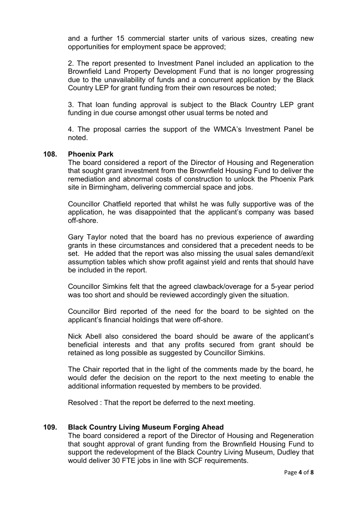and a further 15 commercial starter units of various sizes, creating new opportunities for employment space be approved;

2. The report presented to Investment Panel included an application to the Brownfield Land Property Development Fund that is no longer progressing due to the unavailability of funds and a concurrent application by the Black Country LEP for grant funding from their own resources be noted;

3. That loan funding approval is subject to the Black Country LEP grant funding in due course amongst other usual terms be noted and

4. The proposal carries the support of the WMCA's Investment Panel be noted.

### **108. Phoenix Park**

The board considered a report of the Director of Housing and Regeneration that sought grant investment from the Brownfield Housing Fund to deliver the remediation and abnormal costs of construction to unlock the Phoenix Park site in Birmingham, delivering commercial space and jobs.

Councillor Chatfield reported that whilst he was fully supportive was of the application, he was disappointed that the applicant's company was based off-shore.

Gary Taylor noted that the board has no previous experience of awarding grants in these circumstances and considered that a precedent needs to be set. He added that the report was also missing the usual sales demand/exit assumption tables which show profit against yield and rents that should have be included in the report.

Councillor Simkins felt that the agreed clawback/overage for a 5-year period was too short and should be reviewed accordingly given the situation.

Councillor Bird reported of the need for the board to be sighted on the applicant's financial holdings that were off-shore.

Nick Abell also considered the board should be aware of the applicant's beneficial interests and that any profits secured from grant should be retained as long possible as suggested by Councillor Simkins.

The Chair reported that in the light of the comments made by the board, he would defer the decision on the report to the next meeting to enable the additional information requested by members to be provided.

Resolved : That the report be deferred to the next meeting.

# **109. Black Country Living Museum Forging Ahead**

The board considered a report of the Director of Housing and Regeneration that sought approval of grant funding from the Brownfield Housing Fund to support the redevelopment of the Black Country Living Museum, Dudley that would deliver 30 FTE jobs in line with SCF requirements.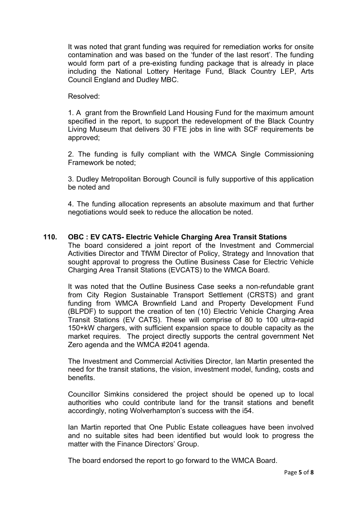It was noted that grant funding was required for remediation works for onsite contamination and was based on the 'funder of the last resort'. The funding would form part of a pre-existing funding package that is already in place including the National Lottery Heritage Fund, Black Country LEP, Arts Council England and Dudley MBC.

## Resolved:

1. A grant from the Brownfield Land Housing Fund for the maximum amount specified in the report, to support the redevelopment of the Black Country Living Museum that delivers 30 FTE jobs in line with SCF requirements be approved;

2. The funding is fully compliant with the WMCA Single Commissioning Framework be noted;

3. Dudley Metropolitan Borough Council is fully supportive of this application be noted and

4. The funding allocation represents an absolute maximum and that further negotiations would seek to reduce the allocation be noted.

## **110. OBC : EV CATS- Electric Vehicle Charging Area Transit Stations**

The board considered a joint report of the Investment and Commercial Activities Director and TfWM Director of Policy, Strategy and Innovation that sought approval to progress the Outline Business Case for Electric Vehicle Charging Area Transit Stations (EVCATS) to the WMCA Board.

It was noted that the Outline Business Case seeks a non-refundable grant from City Region Sustainable Transport Settlement (CRSTS) and grant funding from WMCA Brownfield Land and Property Development Fund (BLPDF) to support the creation of ten (10) Electric Vehicle Charging Area Transit Stations (EV CATS). These will comprise of 80 to 100 ultra-rapid 150+kW chargers, with sufficient expansion space to double capacity as the market requires. The project directly supports the central government Net Zero agenda and the WMCA #2041 agenda.

The Investment and Commercial Activities Director, Ian Martin presented the need for the transit stations, the vision, investment model, funding, costs and benefits.

Councillor Simkins considered the project should be opened up to local authorities who could contribute land for the transit stations and benefit accordingly, noting Wolverhampton's success with the i54.

Ian Martin reported that One Public Estate colleagues have been involved and no suitable sites had been identified but would look to progress the matter with the Finance Directors' Group.

The board endorsed the report to go forward to the WMCA Board.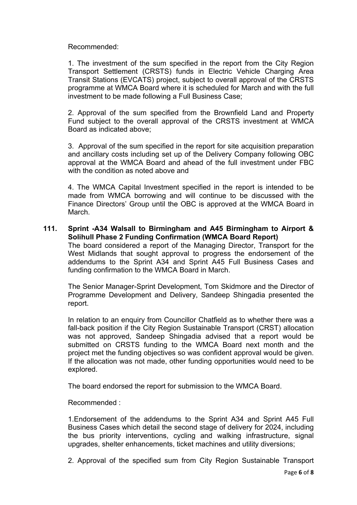Recommended:

1. The investment of the sum specified in the report from the City Region Transport Settlement (CRSTS) funds in Electric Vehicle Charging Area Transit Stations (EVCATS) project, subject to overall approval of the CRSTS programme at WMCA Board where it is scheduled for March and with the full investment to be made following a Full Business Case;

2. Approval of the sum specified from the Brownfield Land and Property Fund subject to the overall approval of the CRSTS investment at WMCA Board as indicated above;

3. Approval of the sum specified in the report for site acquisition preparation and ancillary costs including set up of the Delivery Company following OBC approval at the WMCA Board and ahead of the full investment under FBC with the condition as noted above and

4. The WMCA Capital Investment specified in the report is intended to be made from WMCA borrowing and will continue to be discussed with the Finance Directors' Group until the OBC is approved at the WMCA Board in March.

**111. Sprint -A34 Walsall to Birmingham and A45 Birmingham to Airport & Solihull Phase 2 Funding Confirmation (WMCA Board Report)** The board considered a report of the Managing Director, Transport for the West Midlands that sought approval to progress the endorsement of the addendums to the Sprint A34 and Sprint A45 Full Business Cases and

funding confirmation to the WMCA Board in March.

The Senior Manager-Sprint Development, Tom Skidmore and the Director of Programme Development and Delivery, Sandeep Shingadia presented the report.

In relation to an enquiry from Councillor Chatfield as to whether there was a fall-back position if the City Region Sustainable Transport (CRST) allocation was not approved, Sandeep Shingadia advised that a report would be submitted on CRSTS funding to the WMCA Board next month and the project met the funding objectives so was confident approval would be given. If the allocation was not made, other funding opportunities would need to be explored.

The board endorsed the report for submission to the WMCA Board.

Recommended :

1.Endorsement of the addendums to the Sprint A34 and Sprint A45 Full Business Cases which detail the second stage of delivery for 2024, including the bus priority interventions, cycling and walking infrastructure, signal upgrades, shelter enhancements, ticket machines and utility diversions;

2. Approval of the specified sum from City Region Sustainable Transport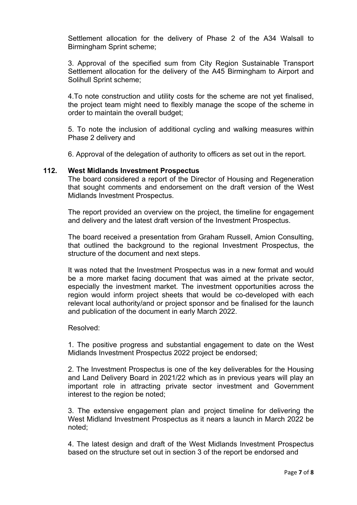Settlement allocation for the delivery of Phase 2 of the A34 Walsall to Birmingham Sprint scheme;

3. Approval of the specified sum from City Region Sustainable Transport Settlement allocation for the delivery of the A45 Birmingham to Airport and Solihull Sprint scheme;

4.To note construction and utility costs for the scheme are not yet finalised, the project team might need to flexibly manage the scope of the scheme in order to maintain the overall budget;

5. To note the inclusion of additional cycling and walking measures within Phase 2 delivery and

6. Approval of the delegation of authority to officers as set out in the report.

### **112. West Midlands Investment Prospectus**

The board considered a report of the Director of Housing and Regeneration that sought comments and endorsement on the draft version of the West Midlands Investment Prospectus.

The report provided an overview on the project, the timeline for engagement and delivery and the latest draft version of the Investment Prospectus.

The board received a presentation from Graham Russell, Amion Consulting, that outlined the background to the regional Investment Prospectus, the structure of the document and next steps.

It was noted that the Investment Prospectus was in a new format and would be a more market facing document that was aimed at the private sector, especially the investment market. The investment opportunities across the region would inform project sheets that would be co-developed with each relevant local authority/and or project sponsor and be finalised for the launch and publication of the document in early March 2022.

### Resolved:

1. The positive progress and substantial engagement to date on the West Midlands Investment Prospectus 2022 project be endorsed;

2. The Investment Prospectus is one of the key deliverables for the Housing and Land Delivery Board in 2021/22 which as in previous years will play an important role in attracting private sector investment and Government interest to the region be noted;

3. The extensive engagement plan and project timeline for delivering the West Midland Investment Prospectus as it nears a launch in March 2022 be noted;

4. The latest design and draft of the West Midlands Investment Prospectus based on the structure set out in section 3 of the report be endorsed and